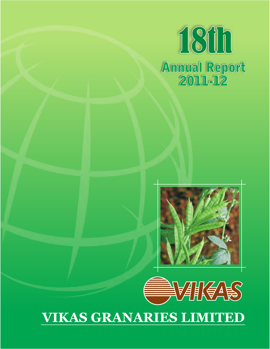



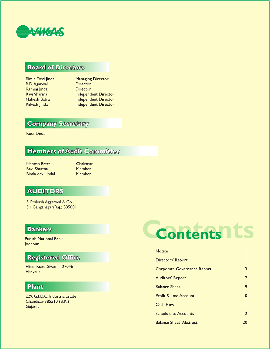

### **Board of Directors**

**Bimla Devi Jindal B.D.Agarwal** Kamini Jindal Ravi Sharma Mahesh Batra Rakesh Jindal

**Managing Director Director** Director **Independent Director Independent Director Independent Director** 

### **Company Secretary**

**Ruta Desai** 

## **Members of Audit Committee**

Mahesh Batra Ravi Sharma Bimla devi Jindal Chairman Member Member

### **AUDITORS**

S. Prakash Aggarwal & Co. Sri Ganganagar(Raj.) 335001

## **Bankers**

Punjab National Bank, Jodhpur

## **Registered Office**

Hisar Road, Siwani-127046 Haryana

### **Plant**

229, G.I.D.C. IndustrialEstate Chandisar-385510 (B.K.) Gujarat



| <b>Notice</b>                      |    |
|------------------------------------|----|
| <b>Directors' Report</b>           |    |
| <b>Corporate Governance Report</b> | 3  |
| <b>Auditors' Report</b>            | 7  |
| <b>Balance Sheet</b>               | 9  |
| <b>Profit &amp; Loss Account</b>   | 10 |
| <b>Cash Flow</b>                   | П  |
| <b>Schedule to Accounts</b>        | 12 |
| <b>Balance Sheet Abstract</b>      | 20 |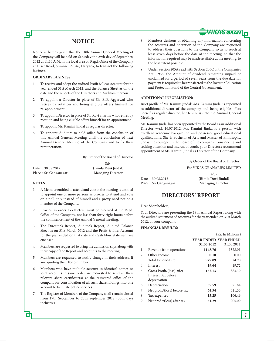### **VIKAS GRAN n**

### **NOTICE**

Notice is hereby given that the 18th Annual General Meeting of the Company will be held on Saturday the 29th day of September, 2012 at 11.30 A.M. in the local area of Regd. Office of the Company at Hisar Road, Siwani- 127046, Haryana, to transact the following business:

### **ORDINARY BUSINESS**

ш

- 1. To receive and adopt the audited Profit & Loss Account for the year ended 31st March 2012, and the Balance Sheet as on the date and the reports of the Directors and Auditors thereon.
- 2. To appoint a Director in place of Sh. B.D. Aggarwal who retires by rotation and being eligible offers himself for re-appointment.
- 3. To appoint Director in place of Sh. Ravi Sharma who retires by rotation and being eligible offers himself for re-appointment
- To appoint Ms. Kamini Jindal as regular director.
- 5. To appoint Auditors to hold office from the conclusion of this Annual General Meeting until the conclusion of next Annual General Meeting of the Company and to fix their remuneration.

By Order of the Board of Director

|                       | $Sd$ -              |
|-----------------------|---------------------|
| Date: 30.08.2012      | (Bimla Devi Jindal) |
| Place: Sri Ganganagar | Managing Director   |

### **NOTES:**

- 1. A Member entitled to attend and vote at the meeting is entitled to appoint one or more persons as proxies to attend and vote on a poll only instead of himself and a proxy need not be a member of the Company.
- 2. Proxies, in order to effective, must be received at the Regd. Office of the Company, not less than forty eight hours before the commencement of the Annual General meeting.
- 3. The Director's Report, Auditor's Report, Audited Balance Sheet as on 31st March 2012 and the Profit & Loss Account for the year ended on that date and Cash Flow Statement are enclosed.
- Members are requested to bring the admission slips along with their copy of the Report and accounts to the meeting.
- 5. Members are requested to notify change in their address, if any, quoting their Folio number
- 6. Members who have multiple account in identical names or joint accounts in same order are requested to send all their relevant share certificate(s) at the registered office of the company for consolidation of all such shareholdings into one account to facilitate better services.
- 7. The Register of Members of the Company shall remain closed from 17th September to 25th September 2012 (both days inclusive)
- 8. Members desirous of obtaining any information concerning the accounts and operation of the Company are requested to address their questions to the Company so as to reach at least seven days before the date of the meeting, so that the information required may be made available at the meeting, to the best extent possible.
- 9. Under Section 205A read with Section 205C of the Companies Act, 1956, the Amount of dividend remaining unpaid or unclaimed for a period of seven years from the due date for payment is required to be transferred to the Investor Education and Protection Fund of the Central Government.

### **ADDITIONAL INFORMATION: -**

Brief profile of Ms. Kamini Jindal: -Ms. Kamini Jindal is appointed as additional director of the company and being eligible offers herself as regular director, her tenure is upto the Annual General Meeting.

Ms. Kamini Jindal has been appointed by the Board as an Additional Director w.e.f. 16.07.2012. Ms. Kamini Jindal is a person with excellent academic background and possesses good educational qualifications. She is Bachelor of Arts and Master of Philosophy. She is the youngest in the Board of the company. Considering and seeking attention and interest of youth, your Directors recommend appointment of Ms. Kamini Jindal as Director of the Company.

> By Order of the Board of Director For VIKAS GRANARIES LIMITED

Date : 30.08.2012 **(Bimla Devi Jindal)** Place : Sri Ganganagar Managing Director

sd/-

*1*

### **DIRECTORS' REPORT**

#### Dear Shareholders,

Your Directors are presenting the 18th Annual Report along with the audited statement of accounts for the year ended on 31st March 2012, of your company.

#### **FINANCIAL RESULTS:**

|    |                                                                  |                              | (Rs. In Millions) |
|----|------------------------------------------------------------------|------------------------------|-------------------|
|    |                                                                  | <b>YEAR ENDED YEAR ENDED</b> |                   |
|    |                                                                  | 31.03.2012                   | 31.03.2011        |
| 1. | Revenue from operations                                          | 1148.76                      | 1328.01           |
| 2. | Other Income                                                     | 0.10                         | 0.00              |
| 3. | Total Expenditure                                                | 977.09                       | 924.90            |
| 4. | Interest                                                         | 19.64                        | 19.72             |
| 5. | Gross Profit/(loss) after<br>Interest But before<br>depreciation | 152.13                       | 383.39            |
| 6. | Depreciation                                                     | 87.59                        | 71.84             |
| 7. | Net profit/(loss) before tax                                     | 64.54                        | 311.55            |
| 8. | Tax expenses                                                     | 13.25                        | 106.46            |
| 9. | Net profit/(loss) after tax                                      | 51.29                        | 205.09            |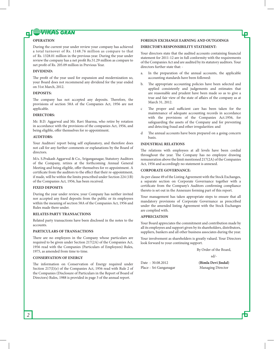### **OPERATION**

During the current year under review your company has achieved a total turnover of Rs. 1148.76 million as compare to that of Rs. 1328.01 million in the previous year. During the year under review the company has a net profit Rs.51.29 million as compare to net profit of Rs. 205.09 million in Previous Year.

#### **DIVIDEND:**

The profit of the year used for expansion and modernization so, your Board does not recommend any dividend for the year ended on 31st March, 2012.

#### **DEPOSITS:**

The company has not accepted any deposits. Therefore, the provisions of section 58A of the Companies Act, 1956 are not applicable.

### **DIRECTORS:**

Mr. B.D. Aggarwal and Mr. Ravi Sharma, who retire by rotation in accordance with the provisions of the companies Act, 1956, and being eligible, offer themselves for re-appointment.

### **AUDITORS:**

Your Auditors' report being self explanatory, and therefore does not call for any further comments or explanations by the Board of directors.

M/s. S.Prakash Aggarwal & Co., Sriganganagar, Statutory Auditors of the Company, retires at the forthcoming Annual General Meeting and being eligible, offer themselves for re-appointment. A certificate from the auditors to the effect that their re-appointment, if made, will be within the limits prescribed under Section 224 (1B) of the Companies Act, 1956, has been received.

#### **FIXED DEPOSITS**

During the year under review, your Company has neither invited nor accepted any fixed deposits from the public or its employees within the meaning of section 58A of the Companies Act, 1956 and Rules made there under.

### **RELATES PARTY TRANSACTIONS**

Related party transactions have been disclosed in the notes to the accounts.

#### **PARTICULARS OF TRANSACTIONS**

There are no employees in the Company whose particulars are required to be given under Section 217(2A) of the Companies Act, 1956 read with the Companies (Particulars of Employees) Rules, 1975, as amended from time to time.

#### **CONSERVATION OF ENERGY**

The information on Conservation of Energy required under Section 217(I)(e) of the Companies Act, 1956 read with Rule 2 of the Companies (Disclosure of Particulars in the Report of Board of Directors) Rules, 1988 is provided in page 3 of the annual report.

#### **FOREIGN EXCHANGE EARNING AND OUTGOINGS**

### **DIRECTOR'S RESPONSIBILITY STATEMENT:**

Your directors state that the audited accounts containing financial statement for 2011-12 are in full conformity with the requirements of the Companies Act and are audited by its statutory auditors. Your directors further state that: -

п

- a. In the preparation of the annual accounts, the applicable accounting standards have been followed:
- b. The appropriate accounting policies have been selected and applied consistently and judgements and estimates that are reasonable and prudent have been made so as to give a true and fair view of the state of affairs of the company as at March 31, 2012.
- c The proper and sufficient care has been taken for the maintenance of adequate accounting records in accordance with the provisions of the Companies Act.1956, for safeguarding the assets of the Company and for preventing and detecting fraud and other irregularities: and
- d The annual accounts have been prepared on a going concern basis.

### **INDUSTRIAL RELATIONS**

The relations with employees at all levels have been cordial throughout the year. The Company has no employee drawing remuneration above the limit mentioned 217(2A) of the Companies Act, 1956 and accordingly no statement is annexed.

### **CORPORATE GOVERNANCE:**

As per clause 49 of the Listing Agreement with the Stock Exchanges, a separate section on Corporate Governance together with a certificate from the Company's Auditors confirming compliance thereto is set out in the Annexure forming part of this report.

Your management has taken appropriate steps to ensure that all mandatory provisions of Corporate Governance as prescribed under the amended listing Agreement with the Stock Exchanges are complied with.

### **APPRECIATION**

Your Board appreciates the commitment and contribution made by all its employees and support given by its shareholders, distributors, suppliers, bankers and all other business associates during the year.

Your involvement as shareholders is greatly valued. Your Directors look forward to your continuing support.

By Order of the Board,

sd/-

Date : 30.08.2012 **(Bimla Devi Jindal)** Place : Sri Ganganagar Managing Director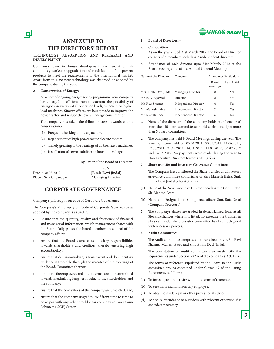

### **ANNEXURE TO THE DIRECTORS' REPORT**

### **TECHNOLOGY ABSORPTION AND RESEARCH AND DEVELOPMENT**

Company's own in house development and analytical lab continuosly works on upgradation and modification of the present products to meet the requirements of the international market. Apart from this, no new technology was absorbed or adopted by the company during the year.

### **A. Conservation of Energy:-**

ш

As a part of ongoing energy saving programme your company has engaged an efficient team to examine the possibility of energy conservation at all operation levels, especially on higher load machines. Sincere efforts are being made to improve the power factor and reduce the overall energy consumption.

The company has taken the following steps towards energy conservation:-

- (1) Frequent checking of the capacitors.
- (2) Replacement of high power factor electric motors.
- (3) Timely greasing of the bearings of all the heavy machines.
- (4) Installation of servo stabilizer to boost the voltage.

By Order of the Board of Director

|                       | $sd/$ -             |
|-----------------------|---------------------|
| Date: 30.08.2012      | (Bimla Devi Jindal) |
| Place: Sri Ganganagar | Managing Director   |

### **CORPORATE GOVERNANCE**

Company's philosophy on code of Corporate Governance

The Company's Philosophy on Code of Corporate Governance as adopted by the company is as under:

- Ensure that the quantity, quality and frequency of financial and managerial information, which management shares with the Board, fully places the board members in control of the company affairs;
- ensure that the Board exercise its fiduciary responsibilities towards shareholders and creditors, thereby ensuring high accountability;
- ensure that decision-making is transparent and documentary evidence is traceable through the minutes of the meetings of the Board/Committee thereof;
- the board, the employees and all concerned are fully committed towards maximizing long-term value to the shareholders and the company;
- ensure that the core values of the company are protected, and;
- ensure that the company upgrades itself from time to time to be at par with any other world class company in Guar Gum Polymers (GGP) Sector.
- **1. Board of Directors: -**
- a. Composition As on the year ended 31st March 2012, the Board of Director consists of 6 members including 3 independent directors.
- b. Attendance of each director upto 31st March, 2012 at the Board meetings and at last Annual General Meeting:

| Name of the Director   | Category             |                   | Attendance Particulars |
|------------------------|----------------------|-------------------|------------------------|
|                        |                      | Board<br>meetings | Last AGM               |
| Mrs. Bimla Devi Jindal | Managing Director    | 8                 | Yes                    |
| Mr. B. D. Agarwal      | Director             | 8                 | Yes                    |
| Mr. Ravi Sharma        | Independent Director | 6                 | Yes                    |
| Mr. Mahesh Batra       | Independent Director | 7                 | Yes                    |
| Mr. Rakesh Jindal      | Independent Director | 6                 | No                     |

- None of the directors of the company holds membership of more then 10 board committees or hold chairmanship of more then 5 board committees.
- d. The company has held 8 Board Meetings during the year. The meetings were held on 05.04.2011, 30.05.2011, 11.06.2011, 12.08.2011, 21.09.2011, 14.11.2011, 11.01.2012, 03.02.2012 and 14.02.2012. No payments were made during the year to Non Executive Directors towards sitting fees.

#### **2. Share transfer and Investors Grievance Committee: -**

The Company has constituted the Share transfer and Investors grievance committee comprising of Shri Mahesh Batra, Smt. Bimla Devi Jindal & Ravi Sharma.

- (a) Name of the Non-Executive Director heading the Committee: Sh. Mahesh Batra
- (b) Name and Designation of Compliance officer: Smt. Ruta Desai (Company Secretary)
- **3.** The company's shares are traded in dematrialised form at all Stock Exchanges where it is listed. To expedite the transfer in physical mode, share transfer committee has been delegated with necessary powers.

### **4. Audit Committee:-**

The Audit committee comprises of three directors viz. Sh. Ravi Sharma, Mahesh Batra and Smt. Bimla Devi Jindal.

The constitution of Audit committee also meets with the requirements under Section 292 A of the companies Act, 1956.

The terms of reference stipulated by the Board to the Audit committee are, as contained under Clause 49 of the listing Agreement, as follows:

- (a) To investigate any activity within its terms of reference.
- (b) To seek information from any employee.
- (c) To obtain outside legal or other professional advice.
- (d) To secure attendance of outsiders with relevant expertise, if it considers necessary.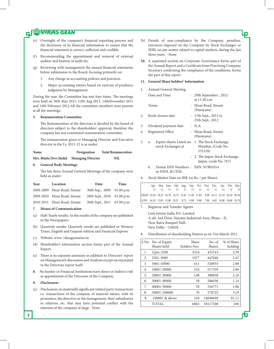- (e) Oversight of the company's financial reporting process and the disclosure of its financial information to ensure that the financial statement is correct, sufficient and credible.
- (f) Recommending the appointment and removal of external auditor and fixation of audit fee.
- (g) Reviewing with management the annual financial statements before submission to the Board, focusing primarily on:
	- 1. Any change in accounting policies and practices.
	- 2. Major accounting entries based on exercise of prudence judgment by Management.

During the year, the Committee has met four times. The meetings were held on 30th May 2011, 12th Aug 2011, 14thNovember 2011 and 14th February 2012.All the committee members were present at all the meetings.

### **5. Remuneration Committee**

The Remuneration of the directors is decided by the board of directors subject to the shareholders' approval, therefore the company has not constituted remuneration committee.

The remuneration given to Managing Director and Executive director in the f.y. 2011-12 is as under:

### **Name Designation Total Remuneration**

### **Mrs. Bimla Devi Jindal Managing Director NIL**

#### **6. General Body Meetings**

The last three Annual General Meetings of the company were held as under:

| Year | Location                     | Date                        | Time |
|------|------------------------------|-----------------------------|------|
|      | 2008-2009 Hisar Road, Siwani | 30th Sep., 2009 01.00 p.m.  |      |
|      | 2009-2010 Hisar Road, Siwani | 28th Sept., 2010 01.00 p.m. |      |
|      | 2010-2011 Hisar Road, Siwani | 30th Sept., 2011 01.00 p.m. |      |
|      |                              |                             |      |

### **7. Means of Communication**

- (a) Half-Yearly results: As the results of the company are published in the Newspapers.
- (b) Quarterly results: Quarterly results are published in Western Times, English and Gujarati edition and Financial Express.
- (c) Website: www. vikasgranaries.in
- (d) Shareholder's information section forms part of the Annual Report.
- (e) There is no separate annexure in addition to Directors' report on Management's discussion and Analysis except incorporated in the Directors report itself.
- **8.** No banker or Financial Institutions have direct or indirect role in appointment of the Directors of the Company.
- **9. Disclosures**
- (a) Disclosures on materially significant related party transactions i.e. transactions of the company of material nature, with its promoters, the directors or the management, their subsidiaries or relatives, etc. that may have potential conflict with the interests of the company at large.- None

(b) Details of non-compliance by the Company, penalties, strictures imposed on the Company by Stock Exchanges or SEBI, on any matter related to capital markets, during the last three years: - None

I.

**10.** A separated section on Corporate Governance forms part of the Annual Report and a Certificate from Practising Company Secretary confirming the compliance of the conditions, forms the part of this report.

### **11. General Share holders' Information**

| 1. |                         | Annual General Meeting                         |                                           |                                                           |
|----|-------------------------|------------------------------------------------|-------------------------------------------|-----------------------------------------------------------|
|    |                         | Date and Time                                  |                                           | $: 29th$ September, 2012<br>at 11.30 a.m                  |
|    | Venue                   |                                                |                                           | : Hisar Road, Siwani<br>(Harayana)                        |
| 2. | Book closure date       |                                                | : 17th Sept., 2012 to<br>25th Sept., 2012 |                                                           |
| 3. | Dividend payment date   |                                                |                                           | : N.A.                                                    |
| 4. | Registered Office<br>÷. |                                                |                                           | Hisar Road, Siwani<br>(Harayana)                          |
| 5. | a.                      | Equity shares Listed on:<br>stock Exchanges at |                                           | 1. The Stock Exchange,<br>Mumbai, (Code No.<br>531518)    |
|    |                         |                                                |                                           | : 2. The Jaipur Stock Exchange,<br>Jaipur, (code No. 767) |
|    |                         |                                                |                                           |                                                           |

b. Demat ISIN Numbers : ISIN 767B01014 in NSDL & CDSL

6. Stock Market Date on BSE (in Rs. / per Share):

|                                                                             |  |  |  | Apr. May June July Aug. Sep. Oct. Nov. Dec. Jan. Feb. Mar.<br>11 11 11 11 11 11 11 11 11 12 12 12 |  |  |  |
|-----------------------------------------------------------------------------|--|--|--|---------------------------------------------------------------------------------------------------|--|--|--|
| HIGH 19.20 18.25 16.70 14.72 12.45 11.50 11.85 9.98 14.11 23.34 26.10 40.30 |  |  |  |                                                                                                   |  |  |  |
| $[LOW 16.10 15.05 13.00 10.51 8.71 9.00 9.00 7.00 6.85 14.00 18.60 18.70]$  |  |  |  |                                                                                                   |  |  |  |

7. Registrar and Transfer Agents

Link Intime India Pvt. Limited. A-40, 2nd Floor, Naraina Industrial Area, Phase – II, Near Batra Banquet Hall, New Delhi - 110028

8. Distribution of shareholding Pattern as on 31st March 2012

|    | S.No. No. of Equity<br>Shares held | Share<br>holders Nos. | No. of<br>Shares | % of Share<br>holding |
|----|------------------------------------|-----------------------|------------------|-----------------------|
| 1. | $Upto-2500$                        | 3534                  | 433743           | 2.39                  |
| 2. | 2501-5000                          | 1077                  | 447046           | 2.47                  |
| 3. | 5001-10000                         | 611                   | 520933           | 2.88                  |
| 4. | 10001-20000                        | 324                   | 517359           | 2.86                  |
| 5. | 20001-30000                        | 148                   | 380838           | 2.10                  |
| 6. | 30001-40000                        | 58                    | 206036           | 1.14                  |
| 7. | 40001-50000                        | 70                    | 336771           | 1.86                  |
| 8. | 50001-100000                       | 76                    | 578725           | 3.19                  |
| 8  | 100001 & above                     | 104                   | 14696049         | 81.11                 |
|    | TOTAL                              | 6002                  | 18117500         | 100                   |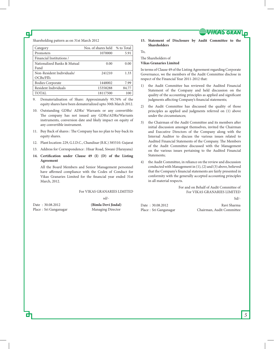### **VIKAS GRAN** O

Shareholding pattern as on 31st March 2012

О

| Category                    | Nos. of shares held | % to Total |
|-----------------------------|---------------------|------------|
| Promoters                   | 1070000             | 5.91       |
| Financial Institutions /    |                     |            |
| Nationalized Banks & Mutual | 0.00                | 0.00       |
| Fund                        |                     |            |
| Non-Resident Individuals/   | 241210              | 1.33       |
| OCBs/Fll's                  |                     |            |
| <b>Bodies Corporate</b>     | 1448002             | 7.99       |
| Resident Individuals        | 15358288            | 84.77      |
| TOTAL                       | 18117500            | 100        |

- 9. Dematerialisation of Share: Approximately 95.76% of the equity shares have been dematerialized upto 30th March 2012.
- 10. Outstanding GDRs/ ADRs/ Warrants or any convertible: The company has not issued any GDRs/ADRs/Warrants instruments, conversion date and likely impact on equity of any convertible instrument.
- 11. Buy Back of shares : The Company has no plan to buy-back its equity shares.
- 12. Plant location: 229, G.I.D.C., Chandisar (B.K.) 385510. Gujarat
- 13. Address for Correspondence : Hisar Road, Siwani (Harayana)
- **14. Certification under Clause 49 (I) (D) of the Listing Agreement**

All the Board Members and Senior Management personnel have affirmed compliance with the Codes of Conduct for Vikas Granaries Limited for the financial year ended 31st March, 2012.

#### For VIKAS GRANARIES LIMITED

### sd/-

Date : 30.08.2012 **(Bimla Devi Jindal)** Place : Sri Ganganagar Managing Director

**15. Statement of Disclosure by Audit Committee to the Shareholders**

To,

#### The Shareholders of **Vikas Granaries Limited**

In terms of Clause 49 of the Listing Agreement regarding Corporate Governance, we the members of the Audit Committee disclose in respect of the Financial Year 2011-2012 that:

- 1) the Audit Committee has reviewed the Audited Financial Statement of the Company and held discussion on the quality of the accounting principles as applied and significant judgments affecting Company's financial statements;
- 2) the Audit Committee has discussed the quality of those principles as applied and judgments referred on (1) above under the circumstances;
- 3) the Chairman of the Audit Committee and its members after initial discussion amongst themselves, invited the Chairman and Executive Directors of the Company along with the Internal Auditor to discuss the various issues related to Audited Financial Statements of the Company. The Members of the Audit Committee discussed with the Management on the various issues pertaining to the Audited Financial Statements;
- 4) the Audit Committee, in reliance on the review and discussion conducted with Management in (1), (2) and (3) above, believed that the Company's financial statements are fairly presented in conformity with the generally accepted accounting principles in all material respects.

 For and on Behalf of Audit Committee of For VIKAS GRANARIES LIMITED

Sd/-

Date : 30.08.2012 Ravi Sharma Place : Sri Ganganagar Chairman, Audit Committee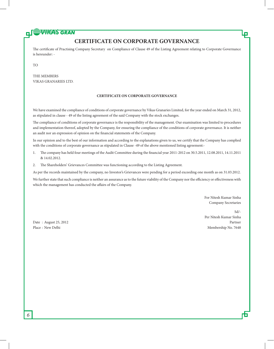### **CERTIFICATE ON CORPORATE GOVERNANCE**

The certificate of Practising Company Secretary on Compliance of Clause 49 of the Listing Agreement relating to Corporate Governance is hereunder: -

TO

ш

THE MEMBERS VIKAS GRANARIES LTD.

### **CERTIFICATE ON CORPORATE GOVERNANCE**

We have examined the compliance of conditions of corporate governance by Vikas Granaries Limited, for the year ended on March 31, 2012, as stipulated in clause - 49 of the listing agreement of the said Company with the stock exchanges.

The compliance of conditions of corporate governance is the responsibility of the management. Our examination was limited to procedures and implementation thereof, adopted by the Company, for ensuring the compliance of the conditions of corporate governance. It is neither an audit nor an expression of opinion on the financial statements of the Company.

In our opinion and to the best of our information and according to the explanations given to us, we certify that the Company has complied with the conditions of corporate governance as stipulated in Clause -49 of the above mentioned listing agreement:-

- 1. The company has held four meetings of the Audit Committee during the financial year 2011-2012 on 30.5.2011, 12.08.2011, 14.11.2011 & 14.02.2012.
- 2. The Shareholders' Grievances Committee was functioning according to the Listing Agreement.

As per the records maintained by the company, no Investor's Grievances were pending for a period exceeding one month as on 31.03.2012.

We further state that such compliance is neither an assurance as to the future viability of the Company nor the efficiency or effectiveness with which the management has conducted the affairs of the Company.

> For Nitesh Kumar Sinha Company Secretaries

F

Sd/- Per Nitesh Kumar Sinha Date : August 25, 2012 Partner Place : New Delhi Membership No. 7648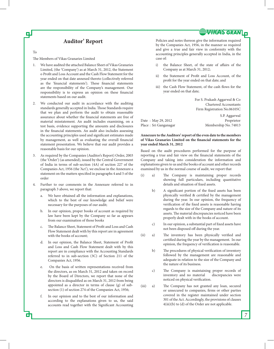### **Auditor' Report**

To

ш

The Members of Vikas Granaries Limited

- We have audited the attached Balance Sheet of Vikas Granaries Limited, (the 'Company') as at March 31, 2012, the Statement o Profit and Loss Account and the Cash Flow Statement for the year ended on that date annexed thereto (collectively referred as the 'financial statements'). These financial statements are the responsibility of the Company's management. Our responsibility is to express an opinion on these financial statements based on our audit.
- 2. We conducted our audit in accordance with the auditing standards generally accepted in India. Those Standards require that we plan and perform the audit to obtain reasonable assurance about whether the financial statements are free of material misstatement. An audit includes examining, on a test basis, evidence supporting the amounts and disclosures in the financial statements. An audit also includes assessing the accounting principles used and significant estimates made by management, as well as evaluating the overall financial statement presentation. We believe that our audit provides a reasonable basis for our opinion.
- As required by the Companies (Auditor's Report) Order, 2003 (the 'Order') (as amended), issued by the Central Government of India in terms of sub-section (4A) of section 227 of the Companies Act, 1956 (the 'Act'), we enclose in the Annexure a statement on the matters specified in paragraphs 4 and 5 of the order
- 4. Further to our comments in the Annexure referred to in paragraph 3 above, we report that:
	- a. We have obtained all the information and explanations, which to the best of our knowledge and belief were necessary for the purposes of our audit;
	- In our opinion, proper books of account as required by law have been kept by the Company so far as appears from our examination of those books
	- The Balance Sheet, Statement of Profit and Loss and Cash Flow Statement dealt with by this report are in agreement with the books of account;
	- d. In our opinion, the Balance Sheet, Statement of Profit and Loss and Cash Flow Statement dealt with by this report are in compliance with the Accounting Standards referred to in sub-section (3C) of Section 211 of the Companies Act, 1956.
	- e. On the basis of written representations received from the directors, as on March 31, 2012 and taken on record by the Board of Directors, we report that none of the directors is disqualified as on March 31, 2012 from being appointed as a director in terms of clause (g) of subsection (1) of section 274 of the Companies Act, 1956;
	- f. In our opinion and to the best of our information and according to the explanations given to us, the said accounts read together with the Significant Accounting

Policies and notes thereon give the information required by the Companies Act, 1956, in the manner so required and give a true and fair view in conformity with the accounting principles generally accepted in India, in the case of:

- i) the Balance Sheet, of the state of affairs of the Company as at March 31, 2012;
- ii) the Statement of Profit and Loss Account, of the profit for the year ended on that date; and
- iii) the Cash Flow Statement, of the cash flows for the year ended on that date;

 For S. Prakash Aggarwal & Co Chartered Accountants Firm Registration No.06105C

 S.P. Aggarwal Date : May 29, 2012 Proprietor Place : Sri Ganganagar Membership No. 74813

### **Annexure to the Auditors' report of the even date to the members of Vikas Granaries Limited on the financial statements for the year ended March 31, 2012**

Based on the audit procedures performed for the purpose of reporting a true and fair view on the financial statements of the Company and taking into consideration the information and explanations given to us and the books of account and other records examined by us in the normal course of audit, we report that

- (i) a) The Company is maintaining proper records showing full particulars, including quantitative details and situation of fixed assets.
	- b) A significant portion of the fixed assets has been physically verified & certified by the management during the year. In our opinion, the frequency of verification of the fixed assets is reasonable having regards to the size of the Company and nature of its assets. The material discrepancies noticed have been properly dealt with in the books of account.
	- c) In our opinion, a substantial part of fixed assets have not been disposed off during the year.
- (ii) a) The inventory has been physically verified and certified during the year by the management. In our opinion, the frequency of verification is reasonable.
	- b) The procedures of physical verification of inventory followed by the management are reasonable and adequate in relation to the size of the Company and the nature of its business.
	- c) The Company is maintaining proper records of inventory and no material discrepancies were noticed on physical verification.
- (iii) a) The Company has not granted any loan, secured or unsecured to companies, firms or other parties covered in the register maintained under section 301 of the Act. Accordingly, the provisions of clauses 4(iii)(b) to (d) of the Order are not applicable.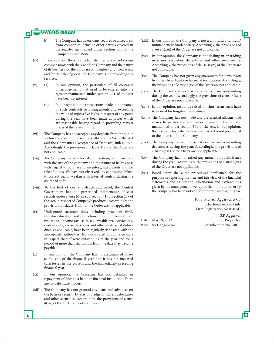- b) The Company has taken loans, secured or unsecured, from companies, firms or other parties covered in the register maintained under section 301 of the Companies Act, 1956.
- (iv) In our opinion, there is an adequate internal control system commensurate with the size of the Company and the nature of its business for the purchase of inventory and fixed assets and for the sale of goods. The Company is not providing any services.
- (v) (a) In our opinion, the particulars of all contracts or arrangements that need to be entered into the register maintained under section 301 of the Act have been so entered.
	- (b) In our opinion, the transactions made in pursuance of such contracts or arrangements and exceeding the value of rupees five lakhs in respect of any party during the year have been made at prices which are reasonable having regard to prevailing market prices at the relevant time.
- (vi) The Company has not accepted any deposits from the public within the meaning of sections 58A and 58AA of the Act and the Companies (Acceptance of Deposits) Rules, 1975. Accordingly, the provisions of clause 4(vi) of the Order are not applicable.
- (vii) The Company has an internal audit system, commensurate with the size of the company and the nature of its business with regard to purchase of inventory, fixed assets and for sale of goods. We have not observed any continuing failure to correct major weakness in internal control during the course of audit.
- (viii) To the best of our knowledge and belief, the Central Government has not prescribed maintenance of cost records under clause (d) of sub-section (1) of section 209 of the Act, in respect of Company's products. Accordingly, the provisions of clause 4(viii) of the Order are not applicable.
- (ix) Undisputed statutory dues including provident fund, investor education and protection fund, employees' state insurance, income-tax, sales-tax, wealth-tax, service-tax, custom duty, excise duty, cess and other material statutory dues, as applicable, have been regularly deposited with the appropriate authorities. No undisputed amounts payable in respect thereof were outstanding at the year end for a period of more than six months from the date they became payable.
- (x) In our opinion, the Company has no accumulated losses at the end of the financial year and it has not incurred cash losses in the current and the immediately preceding financial year.
- (xi) In our opinion, the Company has not defaulted in repayment of dues to a bank or financial institution. There are no debenture holders.
- (xii) The Company has not granted any loans and advances on the basis of security by way of pledge of shares, debentures and other securities. Accordingly, the provisions of clause 4(xii) of the Order are not applicable.

(xiii) In our opinion, the Company is not a chit fund or a nidhi/ mutual benefit fund/ society. Accordingly, the provisions of clause 4(xiii) of the Order are not applicable.

I.

- (xiv) In our opinion, the Company is not dealing in or trading in shares, securities, debentures and other investments. Accordingly, the provisions of clause 4(xiv) of the Order are not applicable.
- (xv) The Company has not given any guarantees for loans taken by others from banks or financial institutions. Accordingly, the provisions of clause 4(xv) of the Order are not applicable.
- (xvi) The Company did not have any terms loans outstanding during the year. Accordingly, the provisions of clause 4(xvi) of the Order are not applicable.
- (xvii) In our opinion, no funds raised on short-term basis have been used for long-term investment.
- (xviii) The Company has not made any preferential allotment of shares to parties and companies covered in the register maintained under section 301 of the Act. In our opinion, the price at which shares have been issued is not prejudicial to the interest of the Company.
- (xix) The Company has neither issued nor had any outstanding debentures during the year. Accordingly, the provisions of clause 4(xix) of the Order are not applicable.
- (xx) The Company has not raised any money by public issues during the year. Accordingly, the provisions of clause 4(xx) of the Order are not applicable.
- (xxi) Based upon the audit procedures performed for the purpose of reporting the true and fair view of the financial statements and as per the information and explanations given by the management, we report that no fraud on or by the company has been noticed for reported during the year.

 For S. Prakash Aggarwal & Co Chartered Accountants Firm Registration No.06105C

 S.P. Aggarwal Date : May 29, 2012 Proprietor Place : Sri Ganganagar Membership No. 74813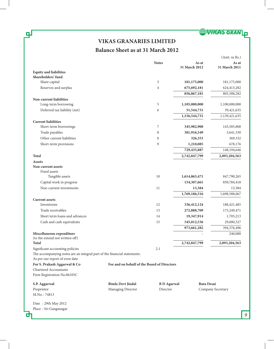**WIKAS GRANL** 

## **VIKAS GRANARIES LIMITED**

gJ

由

### **Balance Sheet as at 31 March 2012**

|                                                                          |                                             |                    |                        | (Amt. in Rs.)          |
|--------------------------------------------------------------------------|---------------------------------------------|--------------------|------------------------|------------------------|
|                                                                          |                                             | <b>Notes</b>       | As at<br>31 March 2012 | As at<br>31 March 2011 |
| <b>Equity and liabilities</b>                                            |                                             |                    |                        |                        |
| Shareholders' fund                                                       |                                             |                    |                        |                        |
| Share capital                                                            |                                             | 3                  | 181,175,000            | 181,175,000            |
| Reserves and surplus                                                     |                                             | $\overline{4}$     | 675,692,181            | 624,413,282            |
|                                                                          |                                             |                    | 856, 867, 181          | 805,588,282            |
| Non-current liabilities                                                  |                                             |                    |                        |                        |
| Long-term borrowing                                                      |                                             | 5                  | 1,105,000,000          | 1,100,000,000          |
| Deferred tax liability (net)                                             |                                             | 6                  | 51,544,731             | 39,421,635             |
|                                                                          |                                             |                    | 1,156,544,731          | 1,139,421,635          |
| <b>Current liabilities</b>                                               |                                             |                    |                        |                        |
| Short-term borrowings                                                    |                                             | 7                  | 345,982,900            | 143,505,808            |
| Trade payables                                                           |                                             | 8                  | 381,916,549            | 3,641,330              |
| Other current liabilities                                                |                                             | 8                  | 326,353                | 369,332                |
| Short-term provisions                                                    |                                             | 9                  | 1,210,085              | 678,176                |
|                                                                          |                                             |                    | 729,435,887            | 148,194,646            |
| <b>Total</b>                                                             |                                             |                    | 2,742,847,799          | 2,093,204,563          |
| <b>Assets</b>                                                            |                                             |                    |                        |                        |
| <b>Non-current assets</b>                                                |                                             |                    |                        |                        |
| Fixed assets                                                             |                                             |                    |                        |                        |
| Tangible assets                                                          |                                             | 10                 | 1,614,865,471          | 847,790,265            |
| Capital work in progress                                                 |                                             |                    | 154,307,661            | 850,784,418            |
| Non-current investments                                                  |                                             | 11                 | 13,384                 | 13,384                 |
|                                                                          |                                             |                    | 1,769,186,516          | 1,698,588,067          |
| <b>Current</b> assets                                                    |                                             |                    |                        |                        |
| Inventories                                                              |                                             | 12                 | 336,412,124            | 188, 421, 485          |
| Trade receivables                                                        |                                             | 13                 | 272,888,709            | 175,249,471            |
| Short term loans and advances                                            |                                             | 14                 | 19,347,914             | 1,705,213              |
| Cash and cash equivalents                                                |                                             | 15                 | 345,012,536            | 29,000,327             |
|                                                                          |                                             |                    | 973,661,282            | 394,376,496            |
| Miscellaneous expenditure                                                |                                             |                    |                        | 240,000                |
| (to the extend not written off)                                          |                                             |                    |                        |                        |
| Total                                                                    |                                             |                    | 2,742,847,799          | 2,093,204,563          |
| Significant accounting policies                                          |                                             | 2.1                |                        |                        |
| The accompanying notes are an integral part of the financial statements. |                                             |                    |                        |                        |
| As per our report of even date                                           |                                             |                    |                        |                        |
| For S. Prakash Aggarwal & Co<br>Chartered Accountants                    | For and on behalf of the Board of Directors |                    |                        |                        |
| Firm Registration No.06105C                                              |                                             |                    |                        |                        |
|                                                                          |                                             |                    |                        |                        |
| S.P. Aggarwal                                                            | <b>Bimla Devi Jindal</b>                    | <b>B</b> D Agarwal | <b>Ruta Desai</b>      |                        |
| ${\bf Proprietor}$                                                       | Managing Director                           | Director           |                        | Company Secretary      |
| M.No.: 74813                                                             |                                             |                    |                        |                        |
|                                                                          |                                             |                    |                        |                        |
| Date: 29th May 2012<br>Place: Sri Ganganagar                             |                                             |                    |                        |                        |
|                                                                          |                                             |                    |                        |                        |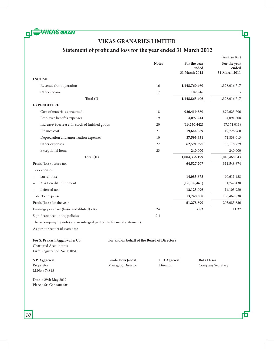**WIKAS GRAN** цſ€

### **VIKAS GRANARIES LIMITED**

Lp.

虛

## **Statement of profit and loss for the year ended 31 March 2012**

|                                                                                      |                                             |                    |                                        | (Amt. in Rs.)                          |
|--------------------------------------------------------------------------------------|---------------------------------------------|--------------------|----------------------------------------|----------------------------------------|
|                                                                                      |                                             | <b>Notes</b>       | For the year<br>ended<br>31 March 2012 | For the year<br>ended<br>31 March 2011 |
| <b>INCOME</b>                                                                        |                                             |                    |                                        |                                        |
| Revenue from operation                                                               |                                             | 16                 | 1,148,760,460                          | 1,328,016,717                          |
| Other income                                                                         |                                             | 17                 | 102,946                                |                                        |
| Total (I)                                                                            |                                             |                    | 1,148,863,406                          | 1,328,016,717                          |
| <b>EXPENDITURE</b>                                                                   |                                             |                    |                                        |                                        |
| Cost of materials consumed                                                           |                                             | 18                 | 926,419,580                            | 872,623,796                            |
| Employee benefits expenses                                                           |                                             | 19                 | 4,097,944                              | 4,091,508                              |
| Increase/ (decrease) in stock of finished goods                                      |                                             | 20                 | (16, 250, 442)                         | (7,171,013)                            |
| Finance cost                                                                         |                                             | 21                 | 19,644,069                             | 19,726,960                             |
| Depreciation and amortization expenses                                               |                                             | 10                 | 87,593,651                             | 71,838,013                             |
| Other expenses                                                                       |                                             | 22                 | 62,591,397                             | 55,118,779                             |
| Exceptional items                                                                    |                                             | 23                 | 240,000                                | 240,000                                |
| Total (II)                                                                           |                                             |                    | 1,084,336,199                          | 1,016,468,043                          |
| Profit/(loss) before tax                                                             |                                             |                    | 64,527,207                             | 311,548,674                            |
| Tax expenses                                                                         |                                             |                    |                                        |                                        |
| current tax                                                                          |                                             |                    | 14,083,673                             | 90,611,428                             |
| MAT credit entitlement                                                               |                                             |                    | (12, 958, 461)                         | 1,747,430                              |
| deferred tax                                                                         |                                             |                    | 12,123,096                             | 14,103,980                             |
| Total Tax expense                                                                    |                                             |                    | 13,248,308                             | 106,462,838                            |
| Profit/(loss) for the year                                                           |                                             |                    | 51,278,899                             | 205,085,836                            |
| Earnings per share (basic and diluted) - Rs.                                         |                                             | 24                 | 2.83                                   | 11.32                                  |
| Significant accounting policies                                                      |                                             | 2.1                |                                        |                                        |
| The accompanying notes are an intergral part of the financial statements.            |                                             |                    |                                        |                                        |
| As per our report of even date                                                       |                                             |                    |                                        |                                        |
| For S. Prakash Aggarwal & Co<br>Chartered Accountants<br>Firm Registration No.06105C | For and on behalf of the Board of Directors |                    |                                        |                                        |
| S.P. Aggarwal                                                                        | <b>Bimla Devi Jindal</b>                    | <b>B</b> D Agarwal | Ruta Desai                             |                                        |
| Proprietor<br>M.No.: 74813                                                           | Managing Director                           | Director           |                                        | Company Secretary                      |
| Date: 29th May 2012<br>Place: Sri Ganganagar                                         |                                             |                    |                                        |                                        |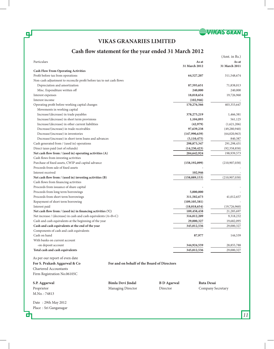**WIKA'S GRANL**D

### **VIKAS GRANARIES LIMITED**

لو

o

## **Cash flow statement for the year ended 31 March 2012**

|                                                                      |                                             |                    |                        | (Amt. in Rs.)          |
|----------------------------------------------------------------------|---------------------------------------------|--------------------|------------------------|------------------------|
| Particulars                                                          |                                             |                    | As at<br>31 March 2012 | As at<br>31 March 2011 |
| <b>Cash Flow From Operating Activities</b>                           |                                             |                    |                        |                        |
| Profit before tax from operations                                    |                                             |                    | 64,527,207             | 311,548,674            |
| Non-cash adjustment to reconcile profit before tax to net cash flows |                                             |                    |                        |                        |
| Depreciation and amortization                                        |                                             |                    | 87,593,651             | 71,838,013             |
| Misc. Expenditure written off                                        |                                             |                    | 240,000                | 240,000                |
| Interest expenses                                                    |                                             |                    | 18,018,654             | 19,726,960             |
| Interest income                                                      |                                             |                    | (102, 946)             |                        |
| Operating profit before working capital changes                      |                                             |                    | 170,276,566            | 403,353,647            |
| Movements in working capital                                         |                                             |                    |                        |                        |
| Increase/(decrease) in trade payables                                |                                             |                    | 378,275,219            | 1,466,381              |
| Increase/(decrease) in short term provisions                         |                                             |                    | 1,104,893              | 561,125                |
| Increase/(decrease) in other current liabilities                     |                                             |                    | (42, 979)              | (1,621,206)            |
| Decrease/(increase) in trade receivables                             |                                             |                    | 97,639,238             | (49, 280, 940)         |
| Decrease/(increase) in inventories                                   |                                             |                    | (147,990,639)          | (64,020,963)           |
| Decrease/(increase) in short term loans and advances                 |                                             |                    | (5,110,475)            | 840,387                |
| Cash generated from / (used in) operations                           |                                             |                    | 298,873,347            | 291,298,431            |
| Direct taxes paid (net of refunds)                                   |                                             |                    | (14, 230, 423)         | (92, 358, 858)         |
| Net cash flow from / (used in) operating activities (A)              |                                             |                    | 284,642,924            | 198,939,573            |
| Cash flows from investing activities                                 |                                             |                    |                        |                        |
| Purchase of fixed assets, CWIP and capital advance                   |                                             |                    | (158, 192, 099)        | (210,907,038)          |
| Proceeds from sale of fixed assets                                   |                                             |                    |                        |                        |
| Interest received                                                    |                                             |                    | 102,946                |                        |
| Net cash flow from / (used in) investing activities (B)              |                                             |                    | (158,089,153)          | (210, 907, 038)        |
| Cash flows from financing activities                                 |                                             |                    |                        |                        |
| Proceeds from issuance of share capital                              |                                             |                    |                        |                        |
| Proceeds from long term borrowings                                   |                                             |                    | 5,000,000              |                        |
| Proceeds from short term borrowings                                  |                                             |                    | 311,582,673            | 41,012,657             |
| Repayment of short term borrowing                                    |                                             |                    | (109, 105, 581)        |                        |
| Interest paid                                                        |                                             |                    | (18,018,654)           | (19,726,960)           |
| Net cash flow from / (used in) in financing activities ('C)          |                                             |                    | 189,458,438            | 21,285,697             |
| Net increase / (decrease) in cash and cash equivalents (A+B+C)       |                                             |                    | 316,012,209            | 9,318,232              |
| Cash and cash equivalents at the beginning of the year               |                                             |                    | 29,000,327             | 19,682,095             |
| Cash and cash equivalents at the end of the year                     |                                             |                    | 345,012,536            | 29,000,327             |
| Components of cash and cash equivalents                              |                                             |                    |                        |                        |
| Cash on hand                                                         |                                             |                    | 87,977                 | 144,539                |
| With banks on current account                                        |                                             |                    |                        |                        |
| -on deposit account                                                  |                                             |                    | 344,924,559            | 28,855,788             |
| Total cash and cash equivalents                                      |                                             |                    | 345,012,536            | 29,000,327             |
| As per our report of even date                                       |                                             |                    |                        |                        |
| For S. Prakash Aggarwal & Co                                         | For and on behalf of the Board of Directors |                    |                        |                        |
| Chartered Accountants                                                |                                             |                    |                        |                        |
| Firm Registration No.06105C                                          |                                             |                    |                        |                        |
| S.P. Aggarwal                                                        | <b>Bimla Devi Jindal</b>                    | <b>B</b> D Agarwal | <b>Ruta Desai</b>      |                        |
| Proprietor                                                           | Managing Director                           | Director           |                        | Company Secretary      |
| M.No.: 74813                                                         |                                             |                    |                        |                        |
|                                                                      |                                             |                    |                        |                        |
| Date: 29th May 2012                                                  |                                             |                    |                        |                        |
| Place: Sri Ganganagar                                                |                                             |                    |                        |                        |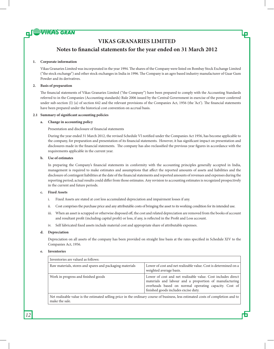

F

### **Notes to financial statements for the year ended on 31 March 2012**

### **1. Corporate information**

Vikas Granaries Limited was incorporated in the year 1994. The shares of the Company were listed on Bombay Stock Exchange Limited ("the stock exchange") and other stock exchanges in India in 1996. The Company is an agro based industry manufacturer of Guar Gum Powder and its derivatives.

#### **2. Basis of preparation**

The financial statements of Vikas Granaries Limited ("the Company") have been prepared to comply with the Accounting Standards referred to in the Companies (Accounting standards) Rule 2006 issued by the Central Government in exercise of the power conferred under sub-section (I) (a) of section 642 and the relevant provisions of the Companies Act, 1956 (the 'Act'). The financial statements have been prepared under the historical cost convention on accrual basis.

#### **2.1 Summary of significant accounting policies**

### **a. Change in accounting policy**

Presentation and disclosure of financial statements

During the year ended 31 March 2012, the revised Schedule VI notified under the Companies Act 1956, has become applicable to the company, for preparation and presentation of its financial statements. However, it has significant impact on presentation and disclosures made in the financial statements. The company has also reclassified the previous year figures in accordance with the requirements applicable in the current year.

#### **b. Use of estimates**

In preparing the Company's financial statements in conformity with the accounting principles generally accepted in India, management is required to make estimates and assumptions that affect the reported amounts of assets and liabilities and the disclosure of contingent liabilities at the date of the financial statements and reported amounts of revenues and expenses during the reporting period; actual results could differ from those estimates. Any revision to accounting estimates is recognized prospectively in the current and future periods.

### **c. Fixed Assets**

- i. Fixed Assets are stated at cost less accumulated depreciation and impairment losses if any.
- ii. Cost comprises the purchase price and any attributable costs of bringing the asset to its working condition for its intended use.
- iii. When an asset is scrapped or otherwise disposed off, the cost and related depreciation are removed from the books of account and resultant profit (including capital profit) or loss, if any, is reflected in the Profit and Loss account.
- iv. Self fabricated fixed assets include material cost and appropriate share of attributable expenses.

### **d. Depreciation**

Depreciation on all assets of the company has been provided on straight line basis at the rates specified in Schedule XIV to the Companies Act, 1956.

#### **e. Inventories**

| Inventories are valued as follows:                       |                                                                                                                                                                                                                         |
|----------------------------------------------------------|-------------------------------------------------------------------------------------------------------------------------------------------------------------------------------------------------------------------------|
| Raw materials, stores and spares and packaging materials | Lower of cost and net realizable value. Cost is determined on a<br>weighted average basis.                                                                                                                              |
| Work in progress and finished goods                      | Lower of cost and net realizable value. Cost includes direct<br>materials and labour and a proportion of manufacturing<br>overheads based on normal operating capacity. Cost of<br>finished goods includes excise duty. |
| make the sale.                                           | Net realizable value is the estimated selling price in the ordinary course of business, less estimated costs of completion and to                                                                                       |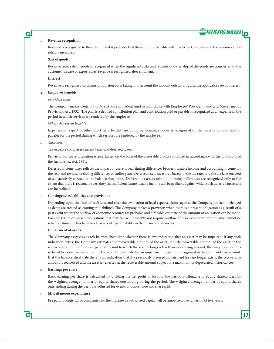#### **f. Revenue recognition**

Revenue is recognized to the extent that it is probable that the economic benefits will flow to the Company and the revenue can be reliably measured.

#### **Sale of goods**

Revenue from sale of goods is recognized when the significant risks and rewards of ownership of the goods are transferred to the customer. In case of export sales, revenue is recognized after shipment.

#### **Interest**

고

Revenue is recognized on a time proportion basis taking into account the amount outstanding and the applicable rate of interest.

#### **g. Employee benefits**

#### *Provident fund*

The Company makes contribution to statutory provident fund in accordance with Employees' Provident Fund and Miscellaneous Provisions Act, 1952. The plan is a defined contribution plan and contribution paid or payable is recognized as an expense in the period in which services are rendered by the employee.

#### *Others short term benefits*

Expenses in respect of other short term benefits including performance bonus is recognized on the basis of amount paid or payable for the period during which services are rendered by the employee.

#### **h. Taxation**

Tax expense comprises current taxes and deferred taxes.

Provision for current taxation is ascertained on the basis of the assessable profits computed in accordance with the provisions of the Income-tax Act, 1961.

Deferred income taxes reflects the impact of current year timing differences between taxable income and accounting income for the year and reversal of timing differences of earlier years. Deferred tax is measured based on the tax rates and the tax laws enacted or substantively enacted at the balance sheet date. Deferred tax assets relating to timing differences are recognized only to the extent that there is reasonable certainty that sufficient future taxable income will be available against which such deferred tax assets can be realized.

#### **i. Contingencies liabilities and provisions**

Depending upon the facts of each case and after due evaluation of legal aspects, claims against the Company not acknowledged as debts are treated as contingent liabilities. The Company makes a provision when there is a present obligation as a result of a past event where the outflow of economic resources is probable and a reliable estimate of the amount of obligation can be made. Possible future or present obligations that may but will probably not require outflow of resources or where the same cannot be reliably estimated, has been made as a contingent liability in the financial statements.

#### **j. Impairment of assets**

The Company assesses at each balance sheet date whether there is any indication that an asset may be impaired. If any such indication exists, the Company estimates the recoverable amount of the asset. If such recoverable amount of the asset or the recoverable amount of the cash generating unit to which the asset belongs is less than its carrying amount, the carrying amount is reduced to its recoverable amount. The reduction is treated as an impairment loss and is recognized in the profit and loss account. If at the balance sheet date there is an indication that if a previously assessed impairment loss no longer exists, the recoverable amount is reassessed and the asset is reflected at the recoverable amount subject to a maximum of depreciated historical cost.

#### **k. Earnings per share**

Basic earning per share is calculated by dividing the net profit or loss for the period attributable to equity shareholders by the weighted average number of equity shares outstanding during the period. The weighted average number of equity shares outstanding during the period is adjusted for events of bonus issue and share split.

#### **l. Miscellaneous expenditure**

Fee paid to Registrar of companies for the increase in authorized capital will be amortized over a period of five years.

**VIKEAS GRAN**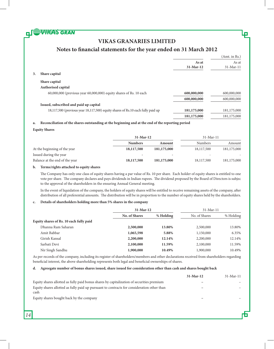**VIIGAS GRAN**  $\Box$ 

### **VIKAS GRANARIES LIMITED**

л

### **Notes to financial statements for the year ended on 31 March 2012**

|    |                                                                                 |             | (Amt. in Rs.) |
|----|---------------------------------------------------------------------------------|-------------|---------------|
|    |                                                                                 | As at       | As at         |
|    |                                                                                 | $31-Mar-12$ | $31-Mar-11$   |
| 3. | Share capital                                                                   |             |               |
|    | Share capital                                                                   |             |               |
|    | Authorised capital                                                              |             |               |
|    | $60,000,000$ (previous year $60,000,000$ ) equity shares of Rs. 10 each         | 600,000,000 | 600,000,000   |
|    |                                                                                 | 600,000,000 | 600,000,000   |
|    | Issued, subscribed and paid up capital                                          |             |               |
|    | 18,117,500 (previous year 18,117,500) equity shares of Rs.10 each fully paid up | 181,175,000 | 181,175,000   |
|    |                                                                                 | 181,175,000 | 181,175,000   |

### **a. Reconciliation of the shares outstanding at the beginning and at the end of the reporting period**

### **Equity Shares**

|                                | $31$ -Mar-12   |             | $31-Mar-11$              |             |
|--------------------------------|----------------|-------------|--------------------------|-------------|
|                                | <b>Numbers</b> | Amount      | Numbers                  | Amount      |
| At the beginning of the year   | 18,117,500     | 181,175,000 | 18,117,500               | 181,175,000 |
| Issued during the year         |                |             | $\overline{\phantom{0}}$ |             |
| Balance at the end of the year | 18,117,500     | 181,175,000 | 18,117,500               | 181,175,000 |

### **b. Terms/rights attached to equity shares**

The Company has only one class of equity shares having a par value of Rs. 10 per share. Each holder of equity shares is entitled to one vote per share. The company declares and pays dividends in Indian rupees. The dividend proposed by the Board of Directors is subjec to the approval of the shareholders in the ensuring Annual General meeting.

In the event of liquidation of the company, the holders of equity shares will be entitled to receive remaining assets of the company, after distribution of all preferential amounts. The distribution will be in proportion to the number of equity shares held by the shareholders.

### **c. Details of shareholders holding more than 5% shares in the company**

|                                         | $31-Mar-12$   |           | $31$ -Mar-11  |           |
|-----------------------------------------|---------------|-----------|---------------|-----------|
|                                         | No. of Shares | % Holding | No. of Shares | % Holding |
| Equity shares of Rs. 10 each fully paid |               |           |               |           |
| Dhanna Ram Saharan                      | 2,500,000     | 13.80%    | 2,500,000     | 13.80%    |
| Amit Babbar                             | 1,065,598     | 5.88%     | 1,150,000     | 6.35%     |
| Girish Kansal                           | 2,200,000     | 12.14%    | 2,200,000     | 12.14%    |
| Sarbati Devi                            | 2,100,000     | 11.59%    | 2,100,000     | 11.59%    |
| Nir Singh Sandhu                        | 1,900,000     | 10.49%    | 1,900,000     | 10.49%    |

As per records of the company, including its register of shareholders/members and other declarations received from shareholders regarding beneficial interest, the above shareholding represents both legal and beneficial ownerships of shares.

### **d. Agreegate number of bonus shares issued, share issued for consideration other than cash and shares bought back**

|                                                                                                    | $31-Mar-12$ | 31-Mar-11 |
|----------------------------------------------------------------------------------------------------|-------------|-----------|
| Equity shares allotted as fully paid bonus shares by capitalization of securities premium          |             |           |
| Equity shares allotted as fully paid up pursuant to contracts for consideration other than<br>cash |             |           |
| Equity shares bought back by the company                                                           |             |           |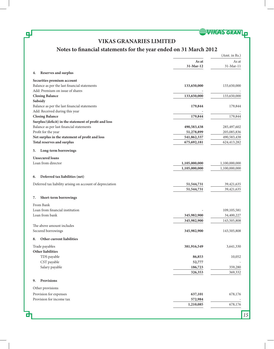**WIKAS GRANL** 

### **VIKAS GRANARIES LIMITED**

சி

## **Notes to financial statements for the year ended on 31 March 2012**

|                                                           |                    | (Amt. in Rs.)      |
|-----------------------------------------------------------|--------------------|--------------------|
|                                                           | As at<br>31-Mar-12 | As at<br>31-Mar-11 |
| Reserves and surplus<br>4.                                |                    |                    |
| Securities premium account                                |                    |                    |
| Balance as per the last financial statements              | 133,650,000        | 133,650,000        |
| Add: Premium on issue of shares                           |                    |                    |
| <b>Closing Balance</b>                                    | 133,650,000        | 133,650,000        |
| Subsidy                                                   |                    |                    |
| Balance as per the last financial statements              | 179,844            | 179,844            |
| Add: Received during this year                            |                    |                    |
| <b>Closing Balance</b>                                    | 179,844            | 179,844            |
| Surplus/(deficit) in the statement of profit and loss     |                    |                    |
| Balance as per last financial statements                  | 490,583,438        | 285,497,602        |
| Profit for the year                                       | 51,278,899         | 205,085,836        |
| Net surplus in the statement of profit and loss           | 541,862,337        | 490,583,438        |
| Total reserves and surplus                                | 675,692,181        | 624,413,282        |
| Long-term borrowings<br>5.                                |                    |                    |
| <b>Unsecured loans</b>                                    |                    |                    |
| Loan from director                                        | 1,105,000,000      | 1,100,000,000      |
|                                                           | 1,105,000,000      | 1,100,000,000      |
| Deferred tax liabilities (net)<br>6.                      |                    |                    |
| Deferred tax liability arising on account of depreciation | 51,544,731         | 39,421,635         |
|                                                           | 51,544,731         | 39,421,635         |
| Short-term borrowings<br>7.                               |                    |                    |
| From Bank                                                 |                    |                    |
| Loan from financial institution                           |                    | 109,105,581        |
| Loan from bank                                            | 345,982,900        | 34,400,227         |
|                                                           | 345,982,900        | 143,505,808        |
| The above amount includes                                 |                    |                    |
| Secured borrowings                                        | 345,982,900        | 143,505,808        |
| Other current liabilities<br>8.                           |                    |                    |
| Trade payables                                            | 381,916,549        | 3,641,330          |
| Other liabilities                                         |                    |                    |
| TDS payable                                               | 86,853             | 10,052             |
| CST payable                                               | 52,777             |                    |
| Salary payable                                            | 186,723<br>326,353 | 359,280<br>369,332 |
|                                                           |                    |                    |
| Provisions<br>9.                                          |                    |                    |
| Other provisions                                          |                    |                    |
| Provision for expenses                                    | 637,101            | 678,176            |
| Provision for income tax                                  | 572,984            |                    |
|                                                           | 1,210,085          | 678,176            |
|                                                           |                    |                    |
|                                                           |                    | 15                 |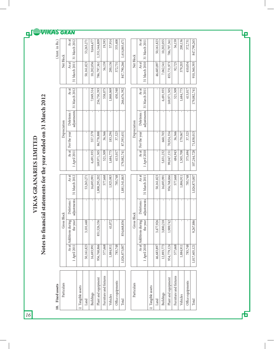Notes to financial statements for the year ended on 31 March 2012 **Notes to financial statements for the year ended on 31 March 2012** VIKAS GRANARIES LIMITED **VIKAS GRANARIES LIMITED**

| 10. Fixed assets       |               |                                         |                          |                        |                       |              |              |                                    |                        | (Amt. in Rs.)          |
|------------------------|---------------|-----------------------------------------|--------------------------|------------------------|-----------------------|--------------|--------------|------------------------------------|------------------------|------------------------|
| Particulars            |               | Gross Block                             |                          |                        |                       |              | Depreciation |                                    | Net Block              |                        |
|                        | 1 April 2011  | As at Additions during<br>year<br>the y | adjustments<br>Deletions | 31 March 2012<br>As at | As at<br>1 April 2011 | For the year | Deletions    | adjustments 31 March 2012<br>As at | As at<br>31 March 2011 | As at<br>31 March 2012 |
| Tangible assets        |               |                                         |                          |                        |                       |              |              |                                    |                        |                        |
| Land                   | 50,161,823    | 448<br>3,101.                           |                          | 53,263,27              |                       |              |              |                                    | 50,161,823             | 53,263,271             |
| <b>Buildings</b>       | 16,693,991    |                                         |                          | 16,693,991             | 6,491,935             | 557,579      |              | 7,049,514                          | 10,202,056             | 9,644,477              |
| Plant and equipment    | 956,768,866   | 336<br>851,526,                         |                          | 1,808,295,202          | 169,971,505           | 86,778,888   |              | 256,750,393                        | 786,797,361            | 1,551,544,809          |
| Furniture and fixtures | 577,668       |                                         |                          | 577,668                | 521,509               | 36,566       |              | 558,075                            | 56,159                 | 19,593                 |
| Vehicles               | 1,884,911     | 072<br>$\frac{1}{4}$                    |                          | 1,925,983              | .,684,775             | 183,294      |              | 1,868,069                          | 200,136                | 57,914                 |
| Office equipments      | 785,748       |                                         |                          | 785,748                | 413,017               | 37,323       |              | 450,340                            | 372,731                | 335,408                |
| Total                  | 1,026,873,007 | ,856<br>854,668,                        |                          | 1,881,541,863          | 179,082,741           | 87,593,65    |              | 266,676,392                        | 847,790,266            | 1,614,865,471          |
|                        |               |                                         |                          |                        |                       |              |              |                                    |                        |                        |
| Particulars            |               | Gross Block                             |                          |                        |                       |              | Depreciation |                                    | Net Block              |                        |
|                        | 1 April 2010  | As at Additions during<br>the year      | adjustments<br>Deletions | As at<br>31 March 2011 | As at<br>1 April 2010 | For the year | Deletions    | As at<br>adjustments 31 March 2011 | 31 March 2010<br>As at | As at<br>31 March 2011 |
| Tangible assets        |               |                                         |                          |                        |                       |              |              |                                    |                        |                        |

| Particulars            |               | Gross Block            |             |               |              |                        | Depreciation     |                           | Net Block                   |             |
|------------------------|---------------|------------------------|-------------|---------------|--------------|------------------------|------------------|---------------------------|-----------------------------|-------------|
|                        |               | As at Additions during | Deletions   | As at         |              | As at For the year     | <b>Deletions</b> | As at                     | As at                       | As at       |
|                        | 1 April 2010  | year<br>the            | adjustments | 31 March 2011 | 1 April 2010 |                        |                  | adjustments 31 March 2011 | 31 March 2010 31 March 2011 |             |
| Tangible assets        |               |                        |             |               |              |                        |                  |                           |                             |             |
| Land                   | 46,683,897    | 7,926<br>3,477         |             | 50,161,823    |              |                        |                  |                           | 46,683,897                  | 50,161,823  |
| Buildings              | 12,893,773    | 0,218<br>3,800         |             | 16,693,991    | 5,831,232    | 660,703                |                  | 6,491,935                 | 7,062,541                   | 10,202,055  |
| Plant and equipment    | 954,779,124   | 9,742<br>1,989         |             | 956,768,866   | 99,047,151   | 70,924,354             |                  | 169,971,505               | 855,731,973                 | 786,797,361 |
| Furniture and fixtures | 577,668       |                        |             | 577,668       | 484,943      | 36,566                 |                  | 521,509                   | 92,725                      | 56,159      |
| Vehicles               | 1,884,91      |                        |             | 1,884,911     | 1,505,708    | 179,067                |                  | 1,684,775                 | 379,203                     | 200,136     |
| Office equipments      | 785,748       |                        |             | 785,748       | 375,694      | 37,323                 |                  | 413,017                   | 410,054                     | 372,731     |
| Total                  | 1,017,605,121 | 9,267,886              |             | 1,026,873,007 |              | 107,244,728 71,838,013 |                  | 179,082,741               | 910,360,393                 | 847,790,265 |

<u>Lp</u>

占

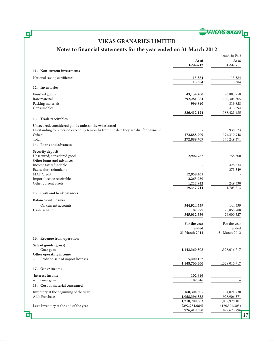**WIKAS GRANL** 

## **VIKAS GRANARIES LIMITED**

لو

## **Notes to financial statements for the year ended on 31 March 2012**

|                                                                                              |                        | (Amt. in Rs.)              |
|----------------------------------------------------------------------------------------------|------------------------|----------------------------|
|                                                                                              | As at                  | As at                      |
|                                                                                              | 31-Mar-12              | 31-Mar-11                  |
| 11. Non-current investments                                                                  |                        |                            |
|                                                                                              |                        |                            |
| National saving certificates                                                                 | 13,384<br>13,384       | 13,384<br>13,384           |
| 12. Inventories                                                                              |                        |                            |
|                                                                                              |                        |                            |
| Finished goods<br>Raw material                                                               | 43,134,200             | 26,883,758                 |
| Packing materials                                                                            | 292,281,084<br>996,840 | 160,304,305                |
| Consumables                                                                                  |                        | 819,828<br>413,594         |
|                                                                                              | 336,412,124            | 188,421,485                |
| 13. Trade receivables                                                                        |                        |                            |
|                                                                                              |                        |                            |
| Unsecured, considered goods unless otherwise stated                                          |                        |                            |
| Outstanding for a period exceeding 6 months from the date they are due for payment<br>Others |                        | 938,523                    |
| Total                                                                                        | 272,888,709            | 174,310,948<br>175,249,471 |
| 14. Loans and advances                                                                       | 272,888,709            |                            |
|                                                                                              |                        |                            |
| Security deposit<br>Unsecured, considered good                                               | 2,902,762              | 758,300                    |
| Other loans and advances                                                                     |                        |                            |
| Income tax refundable                                                                        |                        | 426,234                    |
| Excise duty refundable                                                                       |                        | 271,349                    |
| <b>MAT</b> Credit                                                                            | 12,958,461             |                            |
| Import licence receivable                                                                    | 2,263,750              |                            |
| Other current assets                                                                         | 1,222,942              | 249,330                    |
|                                                                                              | 19,347,914             | 1,705,213                  |
| 15. Cash and bank balances                                                                   |                        |                            |
| <b>Balances with banks:</b>                                                                  |                        |                            |
| On current accounts                                                                          | 344,924,559            | 144,539                    |
| Cash in hand                                                                                 | 87,977                 | 28,855,788                 |
|                                                                                              | 345,012,536            | 29,000,327                 |
|                                                                                              |                        |                            |
|                                                                                              | For the year<br>ended  | For the year<br>ended      |
|                                                                                              | 31 March 2012          | 31 March 2012              |
| 16. Revenue from operation                                                                   |                        |                            |
|                                                                                              |                        |                            |
| Sale of goods (gross)                                                                        |                        |                            |
| Guar gum                                                                                     | 1,143,360,308          | 1,328,016,717              |
| Other operating income<br>Profit on sale of import licenses                                  | 5,400,152              |                            |
|                                                                                              | 1,148,760,460          | 1,328,016,717              |
| Other income<br>17.                                                                          |                        |                            |
| <b>Interest income</b>                                                                       | 102,946                |                            |
| Guar gum                                                                                     | 102,946                |                            |
| Cost of material consumed<br>18.                                                             |                        |                            |
| Inventory at the beginning of the year                                                       | 160,304,305            | 104,021,730                |
| Add: Purchases                                                                               | 1,058,396,358          | 928,906,371                |
|                                                                                              | 1,218,700,663          | 1,032,928,101              |
| Less: Inventory at the end of the year                                                       | (292, 281, 084)        | (160, 304, 305)            |
|                                                                                              |                        |                            |
|                                                                                              | 926,419,580            | 872,623,796                |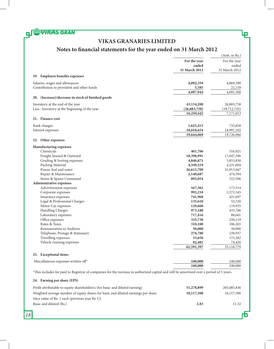

Ļд

## **Notes to financial statements for the year ended on 31 March 2012**

|                                                    |                         | (Amt. in Rs.)           |
|----------------------------------------------------|-------------------------|-------------------------|
|                                                    | For the year            | For the year            |
|                                                    | ended                   | ended                   |
|                                                    | 31 March 2012           | 31 March 2012           |
| 19. Employee benefits expenses                     |                         |                         |
|                                                    |                         |                         |
| Salaries, wages and allowances                     | 4,092,359               | 4,069,390               |
| Contribution to provident and other funds          | 5,585                   | 22,118                  |
|                                                    | 4,097,944               | 4,091,508               |
| 20. (Increase)/decrease in stock of finished goods |                         |                         |
| Inventory at the end of the year                   | 43,134,200              | 26,883,758              |
| Less: Inventory at the beginning of the year       | (26, 883, 758)          | (19,712,745)            |
|                                                    | 16,250,442              | 7,171,013               |
| 21. Finance cost                                   |                         |                         |
| Bank charges                                       | 1,625,415               | 735,858                 |
| Interest expenses                                  | 18,018,654              | 18,991,102              |
|                                                    | 19,644,069              | 19,726,960              |
| Other expenses<br>22.                              |                         |                         |
|                                                    |                         |                         |
| <b>Manufacturing expenses</b><br>Chemicals         | 401,706                 | 516,921                 |
| Freight Inward & Outward                           | 18,398,991              | 17,047,596              |
| Grading & Sorting expenses                         |                         |                         |
| Packing Material                                   | 4,846,871               | 5,853,830               |
| Power, fuel and water                              | 4,349,219<br>26,615,709 | 4,231,604<br>21,913,047 |
|                                                    | 2,140,687               | 474,594                 |
| Repair & Maintenance<br>Stores & Spares Consumed   |                         | 523,506                 |
|                                                    | 892,054                 |                         |
| Administrative expenses<br>Advertisement expenses  | 167,362                 | 173,514                 |
|                                                    |                         |                         |
| Corporate expenses                                 | 992,218                 | 2,372,545               |
| Insurance expenses                                 | 741,968                 | 421,697                 |
| Legal & Professional Charges                       | 135,610                 | 52,520                  |
| Motor Car expenses                                 | 129,660                 | 119,935                 |
| <b>Handling Charges</b>                            | 973,180                 | 433,786                 |
| Laboratory expenses                                | 717,416                 | 88,661                  |
| Office expenses                                    | 335,730                 | 250,119                 |
| Rates & Taxes                                      | 310,100                 | 106,265                 |
| Remuneration to Auditors                           | 50,000                  | 50,000                  |
| Telephone, Postage & Stationary                    | 276,780                 | 238,937                 |
| Travelling expenses                                | 33,656                  | 175,282                 |
| Vehicle running expenses                           | 82,481                  | 74,420                  |
|                                                    | 62,591,397              | 55,118,779              |
| 23. Exceptional items                              |                         |                         |
| Miscellaneous expenses written off*                | 240,000                 | 240,000                 |
|                                                    | 240,000                 | 240,000                 |
|                                                    |                         |                         |

\*This includes fee paid to Registrar of companies for the increase in authorized capital and will be amortized over a period of 5 years.

### **24. Earning per share (EPS)**

| Profit attributable to equity shareholders's (for basic and diluted earning)      | 51,278,899 | 205,085,836 |
|-----------------------------------------------------------------------------------|------------|-------------|
| Weighted average number of equity shares for basic and diluted earnings per share | 18,117,500 | 18,117,500  |
| (face value of Re. 1 each (previous year Re 1))                                   |            |             |
| Basic and diluted (Rs.)                                                           | 2.83       | 11.32       |
|                                                                                   |            |             |
|                                                                                   |            |             |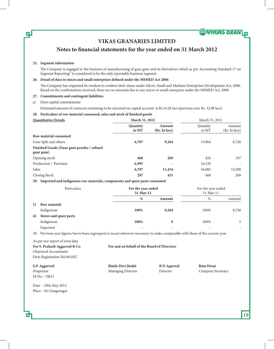### **VIKAS GRANARIES LIMITED**

### **Notes to financial statements for the year ended on 31 March 2012**

#### **25. Segment information**

О

The Company is engaged in the business of manufacturing of guar gum and its derivatives which as per Accounting Standard 17 on Segment Reporting" is considered to be the only reportable business segment.

### **26. Detail of dues to micro and small enterprises defined under the MSMED Act 2006**

The Company has requested its vendors to confirm their status under Micro, Small and Medium Enterprises Development Act, 2006. Based on the confirmations received, there are no amounts due to any micro or small enterprise under the MSMED Act, 2006.

#### **27. Commitments and contingent liabilities**

### a) Firm capital commitments

Estimated amount of contracts remaining to be executed on capital account is Rs.14.26 lacs (previous year Rs. 12.09 lacs)

### **28. Particulars of raw material consumed, sales and stock of finished goods**

| Quantity<br>Amount<br>Quantity<br>in MT<br>(Rs. In lacs)<br>in MT<br>Raw material consumed<br>Guar Split and others<br>6,707<br>9,264<br>15,964<br>Finished Goods (Guar gum powder / refined<br>guar gum)<br>Opening stock<br>468<br>269<br>424<br>Production / Purchase<br>6,995<br>16,129<br><b>Sales</b><br>6,707<br>16,085<br>11,434<br>Closing Stock<br>297<br>431<br>468 | <b>Quantitative Details</b> | March 31, 2012 |  | March 31, 2011 |                         |
|--------------------------------------------------------------------------------------------------------------------------------------------------------------------------------------------------------------------------------------------------------------------------------------------------------------------------------------------------------------------------------|-----------------------------|----------------|--|----------------|-------------------------|
|                                                                                                                                                                                                                                                                                                                                                                                |                             |                |  |                | Amount<br>(Rs. In lacs) |
|                                                                                                                                                                                                                                                                                                                                                                                |                             |                |  |                |                         |
|                                                                                                                                                                                                                                                                                                                                                                                |                             |                |  |                | 8,726                   |
|                                                                                                                                                                                                                                                                                                                                                                                |                             |                |  |                |                         |
|                                                                                                                                                                                                                                                                                                                                                                                |                             |                |  |                | 197                     |
|                                                                                                                                                                                                                                                                                                                                                                                |                             |                |  |                |                         |
|                                                                                                                                                                                                                                                                                                                                                                                |                             |                |  |                | 13,280                  |
|                                                                                                                                                                                                                                                                                                                                                                                |                             |                |  |                | 269                     |

### **29. Imported and indigenous raw materials, components and spare parts consumed**

|               | Particulars            | For the year ended<br>31-Mar-12 |                          | For the year ended<br>31-Mar-11 |        |
|---------------|------------------------|---------------------------------|--------------------------|---------------------------------|--------|
|               |                        | $\%$                            | Amount                   | $\%$                            | Amount |
| 1)            | Raw material           |                                 |                          |                                 |        |
|               | Indigenous             | 100%                            | 9,264                    | 100%                            | 8,726  |
| $\mathbf{ii}$ | Stores and spare parts |                                 |                          |                                 |        |
|               | Indigenous             | 100%                            | 9                        | 100%                            | 5      |
|               | Imported               | $\overline{\phantom{0}}$        | $\overline{\phantom{0}}$ | $\overline{\phantom{0}}$        | ٠      |

30. Previous year figures havve been regrouped or recast wherever necessary to make comparable with those of the current year.

### As per our report of even date **For S. Prakash Aggarwal & Co For and on behalf of the Board of Directors** Chartered Accountants Firm Registration No.06105C **S.P. Aggarwal Bimla Devi Jindal B D Agarwal Ruta Desai** Proprietor **Company Secretary** Managing Director Director Company Secretary M.No. : 74813 Date : 29th May 2012 Place : Sri Ganganagar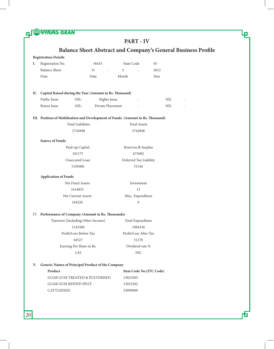#### **VIKAS GRAN** ш

### **PART - IV**

G

### **Balance Sheet Abstract and Company's General Business Profile**

## **Registration Details I**. Registration No. 36433 State Code 05 Balance Sheet 31 - 3 - 2012 Date Month Year **II. Capital Raised during the Year (Amount in Rs. Thousand)** Public Issue -NIL-<br>
Rights Issue - NIL Bonus Issue -NIL- Private Placement - NIL **III. Position of Mobilisation and Development of Funds (Amount in Rs. Thousand)** Total Liabilities Total Assets 2742848 2742848 **Source of Funds** Paid-up Capital Reserves & Surplus 181175 675692 Unsecured Loan Deferred Tax Liability 1105000 51544 **Application of Funds** Net Fixed Assets Investment 1614855 13 Net Current Assets Misc. Expenditure 244226 0 IV. **Performance of Company (Amount in Rs. Thousands)** Turnover [Including Other Income] Total Expenditure 1143360 1084336 Profit/Loss Before Tax Profit/Loss After Tax 64527 51278 Earning Per Share in Rs. Dividend rate % 2.83 NIL **V. Generic Names of Principal Product of the Company** Product Item Code No.(ITC Code) GUAR GUM TREATED & PULVERISED 13023203 GUAR GUM REFIND SPLIT 13023202 CATTLEFEED 23099009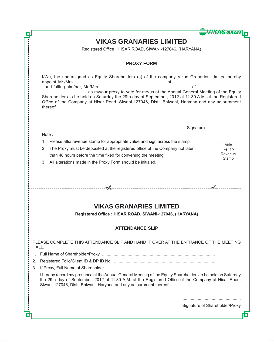Registered Office : HISAR ROAD, SIWANI-127046, (HARYANA)

### **PROXY FORM**

I/We, the undersigned as Equity Shareholders (s) of the company Vikas Granaries Limited hereby appoint Mr./Mrs. ........................................................................ of …................................................... . and failing him/her, Mr./Mrs. ........................................................................ of ................................... .................................... as my/our proxy to vote for me/us at the Annual General Meeting of the Equity Shareholders to be held on Saturday the 29th day of September, 2012 at 11.30 A.M. at the Registered Office of the Company at Hisar Road, Siwani-127046, Distt. Bhiwani, Haryana and any adjournment thereof.

Signature...............................

Affix Re. 1/- Revenue **Stamp** 

**VIIGAS GRAN n** 

Note :

1. Please affix revenue stamp for appropriate value and sign across the stamp.

2. The Proxy must be deposited at the registered office of the Company not later than 48 hours before the time fixed for convening the meeting.

3. All alterations made in the Proxy Form should be initialed.

## **VIKAS GRANARIES LIMITED**

##

**Registered Office : HISAR ROAD, SIWANI-127046, (HARYANA)**

### **ATTENDANCE SLIP**

PLEASE COMPLETE THIS ATTENDANCE SLIP AND HAND IT OVER AT THE ENTRANCE OF THE MEETING HALL.

1. Full Name of Shareholder/Proxy .................................................................................................

2. Registered Folio/Client ID & DP ID No. .......................................................................................

3. If Proxy, Full Name of Shareholder ..............................................................................................

I hereby record my presence at the Annual General Meeting of the Equity Shareholders to be held on Saturday the 29th day of September, 2012 at 11.30 A.M. at the Registered Office of the Company at Hisar Road, Siwani-127046, Distt. Bhiwani, Haryana and any adjournment thereof.

> ................................................... Signature of Shareholder/Proxy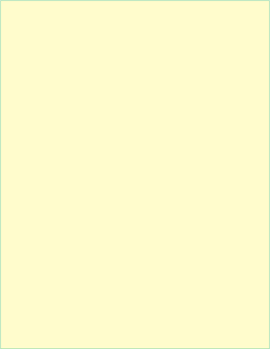